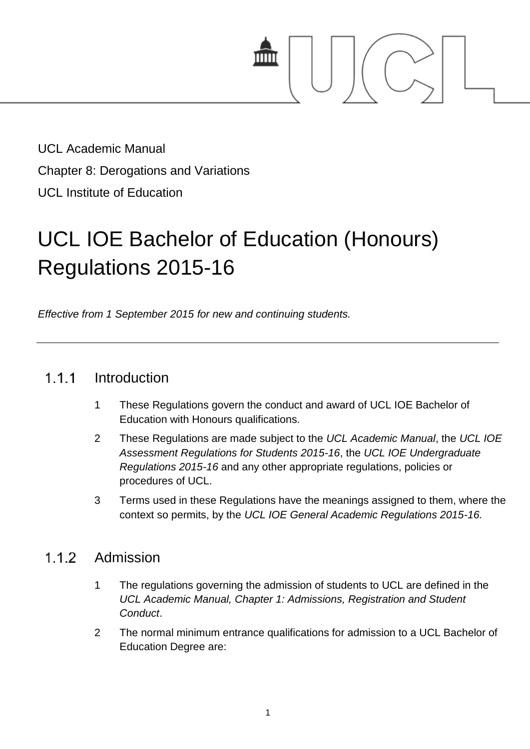

UCL Academic Manual Chapter 8: Derogations and Variations UCL Institute of Education

# UCL IOE Bachelor of Education (Honours) Regulations 2015-16

*Effective from 1 September 2015 for new and continuing students.*

## $1.1.1$ Introduction

- 1 These Regulations govern the conduct and award of UCL IOE Bachelor of Education with Honours qualifications.
- 2 These Regulations are made subject to the *UCL Academic Manual*, the *UCL IOE Assessment Regulations for Students 2015-16*, the *UCL IOE Undergraduate Regulations 2015-16* and any other appropriate regulations, policies or procedures of UCL.
- 3 Terms used in these Regulations have the meanings assigned to them, where the context so permits, by the *UCL IOE General Academic Regulations 2015-16.*

#### $1.1.2$ Admission

- 1 The regulations governing the admission of students to UCL are defined in the *UCL Academic Manual, Chapter 1: Admissions, Registration and Student Conduct*.
- 2 The normal minimum entrance qualifications for admission to a UCL Bachelor of Education Degree are: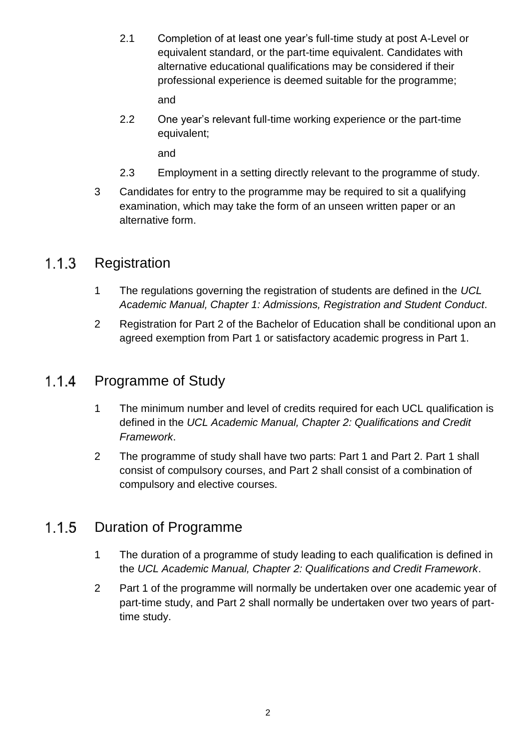2.1 Completion of at least one year's full-time study at post A-Level or equivalent standard, or the part-time equivalent. Candidates with alternative educational qualifications may be considered if their professional experience is deemed suitable for the programme;

and

2.2 One year's relevant full-time working experience or the part-time equivalent;

and

- 2.3 Employment in a setting directly relevant to the programme of study.
- 3 Candidates for entry to the programme may be required to sit a qualifying examination, which may take the form of an unseen written paper or an alternative form.

#### $1.1.3$ **Registration**

- 1 The regulations governing the registration of students are defined in the *UCL Academic Manual, Chapter 1: Admissions, Registration and Student Conduct*.
- 2 Registration for Part 2 of the Bachelor of Education shall be conditional upon an agreed exemption from Part 1 or satisfactory academic progress in Part 1.

## $1.1.4$ Programme of Study

- 1 The minimum number and level of credits required for each UCL qualification is defined in the *UCL Academic Manual, Chapter 2: Qualifications and Credit Framework*.
- 2 The programme of study shall have two parts: Part 1 and Part 2. Part 1 shall consist of compulsory courses, and Part 2 shall consist of a combination of compulsory and elective courses.

## $1.1.5$ Duration of Programme

- 1 The duration of a programme of study leading to each qualification is defined in the *UCL Academic Manual, Chapter 2: Qualifications and Credit Framework*.
- 2 Part 1 of the programme will normally be undertaken over one academic year of part-time study, and Part 2 shall normally be undertaken over two years of parttime study.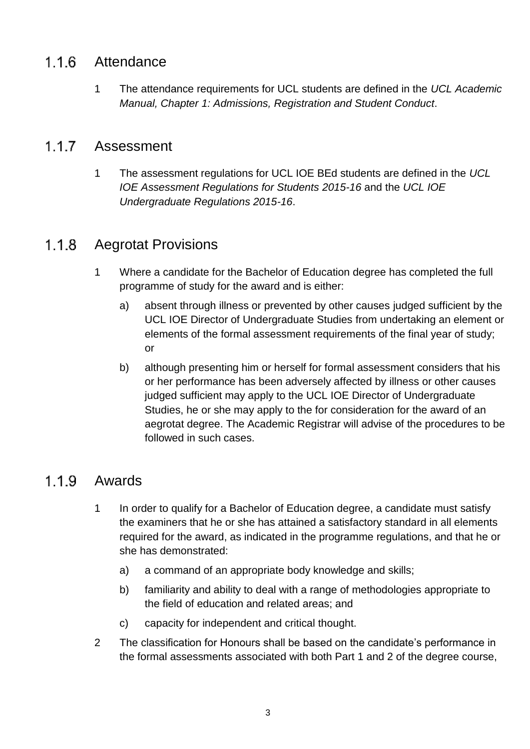#### $1.1.6$ Attendance

1 The attendance requirements for UCL students are defined in the *UCL Academic Manual, Chapter 1: Admissions, Registration and Student Conduct*.

#### 117 Assessment

1 The assessment regulations for UCL IOE BEd students are defined in the *UCL IOE Assessment Regulations for Students 2015-16* and the *UCL IOE Undergraduate Regulations 2015-16*.

## $1.1.8$ Aegrotat Provisions

- 1 Where a candidate for the Bachelor of Education degree has completed the full programme of study for the award and is either:
	- a) absent through illness or prevented by other causes judged sufficient by the UCL IOE Director of Undergraduate Studies from undertaking an element or elements of the formal assessment requirements of the final year of study; or
	- b) although presenting him or herself for formal assessment considers that his or her performance has been adversely affected by illness or other causes judged sufficient may apply to the UCL IOE Director of Undergraduate Studies, he or she may apply to the for consideration for the award of an aegrotat degree. The Academic Registrar will advise of the procedures to be followed in such cases.

## $1.1.9$ Awards

- 1 In order to qualify for a Bachelor of Education degree, a candidate must satisfy the examiners that he or she has attained a satisfactory standard in all elements required for the award, as indicated in the programme regulations, and that he or she has demonstrated:
	- a) a command of an appropriate body knowledge and skills;
	- b) familiarity and ability to deal with a range of methodologies appropriate to the field of education and related areas; and
	- c) capacity for independent and critical thought.
- 2 The classification for Honours shall be based on the candidate's performance in the formal assessments associated with both Part 1 and 2 of the degree course,